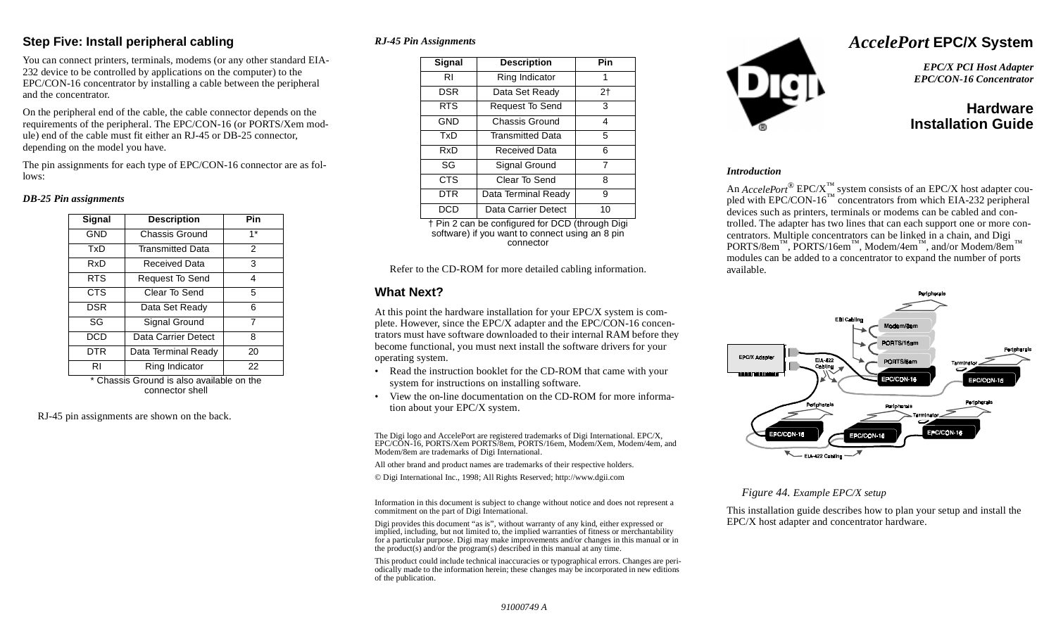## **Step Five: Install peripheral cabling**

You can connect printers, terminals, modems (or any other standard EIA-232 device to be controlled by applications on the computer) to the EPC/CON-16 concentrator by installing a cable between the peripheral and the concentrator.

On the peripheral end of the cable, the cable connector depends on the requirements of the peripheral. The EPC/CON-16 (or PORTS/Xem module) end of the cable must fit either an RJ-45 or DB-25 connector, depending on the model you have.

The pin assignments for each type of EPC/CON-16 connector are as follows:

#### *DB-25 Pin assignments*

| Signal     | <b>Description</b>      | Pin           |
|------------|-------------------------|---------------|
| <b>GND</b> | Chassis Ground          | $1*$          |
| TxD        | <b>Transmitted Data</b> | $\mathcal{P}$ |
| RxD        | Received Data           | 3             |
| <b>RTS</b> | Request To Send         | 4             |
| <b>CTS</b> | Clear To Send           | 5             |
| DSR        | Data Set Ready          | 6             |
| SG         | Signal Ground           | 7             |
| DCD        | Data Carrier Detect     | 8             |
| DTR        | Data Terminal Ready     | 20            |
| RI         | Ring Indicator          | 22            |

\* Chassis Ground is also available on the connector shell

RJ-45 pin assignments are shown on the back.

### *RJ-45 Pin Assignments*

| Signal     | <b>Description</b>      | Pin |
|------------|-------------------------|-----|
| RI         | Ring Indicator          | 1   |
| <b>DSR</b> | Data Set Ready          | 2†  |
| <b>RTS</b> | Request To Send         | 3   |
| <b>GND</b> | Chassis Ground          | 4   |
| TxD        | <b>Transmitted Data</b> | 5   |
| RxD        | Received Data           | 6   |
| SG         | Signal Ground           | 7   |
| <b>CTS</b> | Clear To Send           | 8   |
| DTR        | Data Terminal Ready     | 9   |
| ncn        | Data Carrier Detect     | 10  |

† Pin 2 can be configured for DCD (through Digi software) if you want to connect using an 8 pin connector

Refer to the CD-ROM for more detailed cabling information.

## **What Next?**

At this point the hardware installation for your EPC/X system is complete. However, since the EPC/X adapter and the EPC/CON-16 concentrators must have software downloaded to their internal RAM before they become functional, you must next install the software drivers for your operating system.

- Read the instruction booklet for the CD-ROM that came with your system for instructions on installing software.
- View the on-line documentation on the CD-ROM for more information about your EPC/X system.

The Digi logo and AccelePort are registered trademarks of Digi International. EPC/X, EPC/CON-16, PORTS/Xem PORTS/8em, PORTS/16em, Modem/Xem, Modem/4em, and Modem/8em are trademarks of Digi International.

All other brand and product names are trademarks of their respective holders.

© Digi International Inc., 1998; All Rights Reserved; http://www.dgii.com

Information in this document is subject to change without notice and does not represent a commitment on the part of Digi International.

Digi provides this document "as is", without warranty of any kind, either expressed or implied, including, but not limited to, the implied warranties of fitness or merchantability for a particular purpose. Digi may make improvements and/or changes in this manual or in the product(s) and/or the program(s) described in this manual at any time.

This product could include technical inaccuracies or typographical errors. Changes are periodically made to the information herein; these changes may be incorporated in new editions of the publication.



# *AccelePort* **EPC/X System**

*EPC/X PCI Host Adapter EPC/CON-16 Concentrator*

# **HardwareInstallation Guide**

#### *Introduction*

An  $\text{A} \text{c} \text{c} \text{e} \text{e} \text{P} \text{c} \text{m}$ <sup>®</sup> EPC/X<sup>™</sup> system consists of an EPC/X host adapter coupled with EPC/CON-16<sup>™</sup> concentrators from which EIA-232 peripheral devices such as printers, terminals or modems can be cabled and controlled. The adapter has two lines that can each support one or more concentrators. Multiple concentrators can be linked in a chain, and Digi PORTS/8em™, PORTS/16em™, Modem/4em™, and/or Modem/8em modules can be added to a concentrator to expand the number of ports available.



### *Figure 44. Example EPC/X setup*

This installation guide describes how to plan your setup and install the EPC/X host adapter and concentrator hardware.